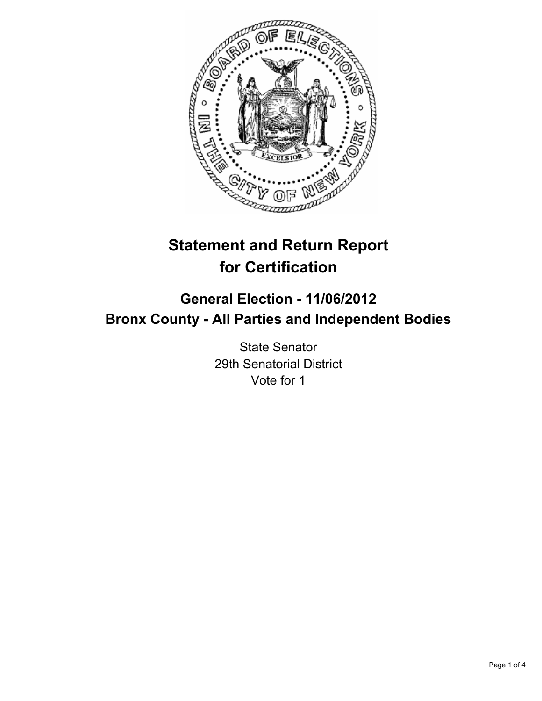

# **Statement and Return Report for Certification**

## **General Election - 11/06/2012 Bronx County - All Parties and Independent Bodies**

State Senator 29th Senatorial District Vote for 1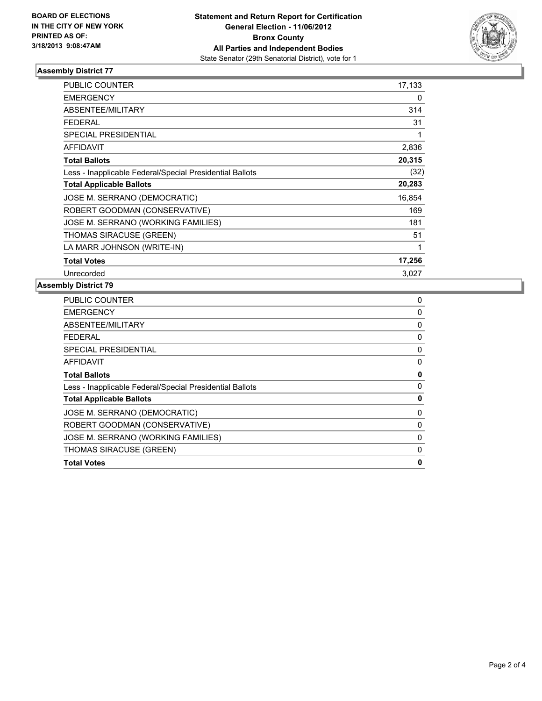

### **Assembly District 77**

| <b>PUBLIC COUNTER</b>                                    | 17,133 |
|----------------------------------------------------------|--------|
| <b>EMERGENCY</b>                                         | 0      |
| ABSENTEE/MILITARY                                        | 314    |
| <b>FEDERAL</b>                                           | 31     |
| <b>SPECIAL PRESIDENTIAL</b>                              |        |
| <b>AFFIDAVIT</b>                                         | 2,836  |
| <b>Total Ballots</b>                                     | 20,315 |
| Less - Inapplicable Federal/Special Presidential Ballots | (32)   |
| <b>Total Applicable Ballots</b>                          | 20,283 |
| JOSE M. SERRANO (DEMOCRATIC)                             | 16,854 |
| ROBERT GOODMAN (CONSERVATIVE)                            | 169    |
| JOSE M. SERRANO (WORKING FAMILIES)                       | 181    |
| THOMAS SIRACUSE (GREEN)                                  | 51     |
| LA MARR JOHNSON (WRITE-IN)                               | 1      |
| <b>Total Votes</b>                                       | 17,256 |
| Unrecorded                                               | 3,027  |

#### **Assembly District 79**

| <b>PUBLIC COUNTER</b>                                    | 0        |
|----------------------------------------------------------|----------|
| <b>EMERGENCY</b>                                         | 0        |
| ABSENTEE/MILITARY                                        | 0        |
| FEDERAL                                                  | 0        |
| <b>SPECIAL PRESIDENTIAL</b>                              | 0        |
| <b>AFFIDAVIT</b>                                         | 0        |
| <b>Total Ballots</b>                                     | 0        |
| Less - Inapplicable Federal/Special Presidential Ballots | 0        |
| <b>Total Applicable Ballots</b>                          | 0        |
| JOSE M. SERRANO (DEMOCRATIC)                             | 0        |
| ROBERT GOODMAN (CONSERVATIVE)                            | 0        |
| JOSE M. SERRANO (WORKING FAMILIES)                       | 0        |
| THOMAS SIRACUSE (GREEN)                                  | $\Omega$ |
| <b>Total Votes</b>                                       | 0        |
|                                                          |          |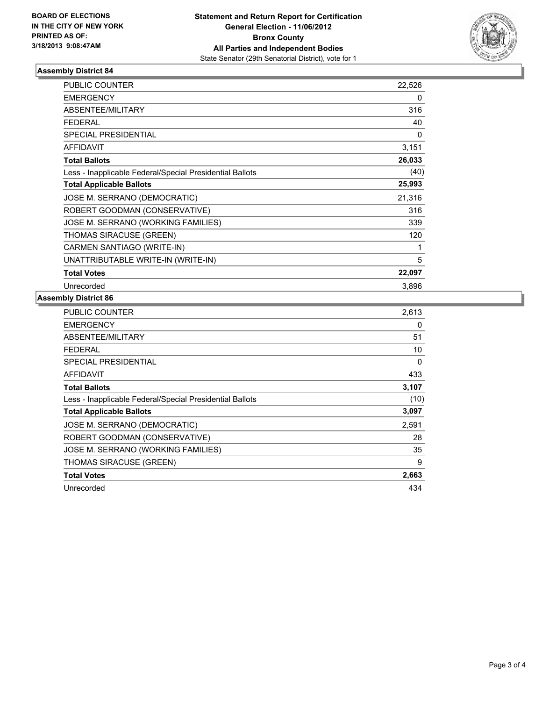

#### **Assembly District 84**

| <b>PUBLIC COUNTER</b>                                    | 22,526 |
|----------------------------------------------------------|--------|
| <b>EMERGENCY</b>                                         | 0      |
| <b>ABSENTEE/MILITARY</b>                                 | 316    |
| <b>FEDERAL</b>                                           | 40     |
| <b>SPECIAL PRESIDENTIAL</b>                              | 0      |
| <b>AFFIDAVIT</b>                                         | 3,151  |
| <b>Total Ballots</b>                                     | 26,033 |
| Less - Inapplicable Federal/Special Presidential Ballots | (40)   |
| <b>Total Applicable Ballots</b>                          | 25,993 |
| JOSE M. SERRANO (DEMOCRATIC)                             | 21,316 |
| ROBERT GOODMAN (CONSERVATIVE)                            | 316    |
| JOSE M. SERRANO (WORKING FAMILIES)                       | 339    |
| <b>THOMAS SIRACUSE (GREEN)</b>                           | 120    |
| CARMEN SANTIAGO (WRITE-IN)                               | 1      |
| UNATTRIBUTABLE WRITE-IN (WRITE-IN)                       | 5      |
| <b>Total Votes</b>                                       | 22,097 |
| Unrecorded                                               | 3,896  |

#### **Assembly District 86**

| <b>PUBLIC COUNTER</b>                                    | 2,613 |
|----------------------------------------------------------|-------|
| <b>EMERGENCY</b>                                         | 0     |
| ABSENTEE/MILITARY                                        | 51    |
| FEDERAL                                                  | 10    |
| <b>SPECIAL PRESIDENTIAL</b>                              | 0     |
| <b>AFFIDAVIT</b>                                         | 433   |
| <b>Total Ballots</b>                                     | 3,107 |
| Less - Inapplicable Federal/Special Presidential Ballots | (10)  |
| <b>Total Applicable Ballots</b>                          | 3,097 |
| JOSE M. SERRANO (DEMOCRATIC)                             | 2,591 |
| ROBERT GOODMAN (CONSERVATIVE)                            | 28    |
| JOSE M. SERRANO (WORKING FAMILIES)                       | 35    |
| <b>THOMAS SIRACUSE (GREEN)</b>                           | 9     |
| <b>Total Votes</b>                                       | 2,663 |
| Unrecorded                                               | 434   |